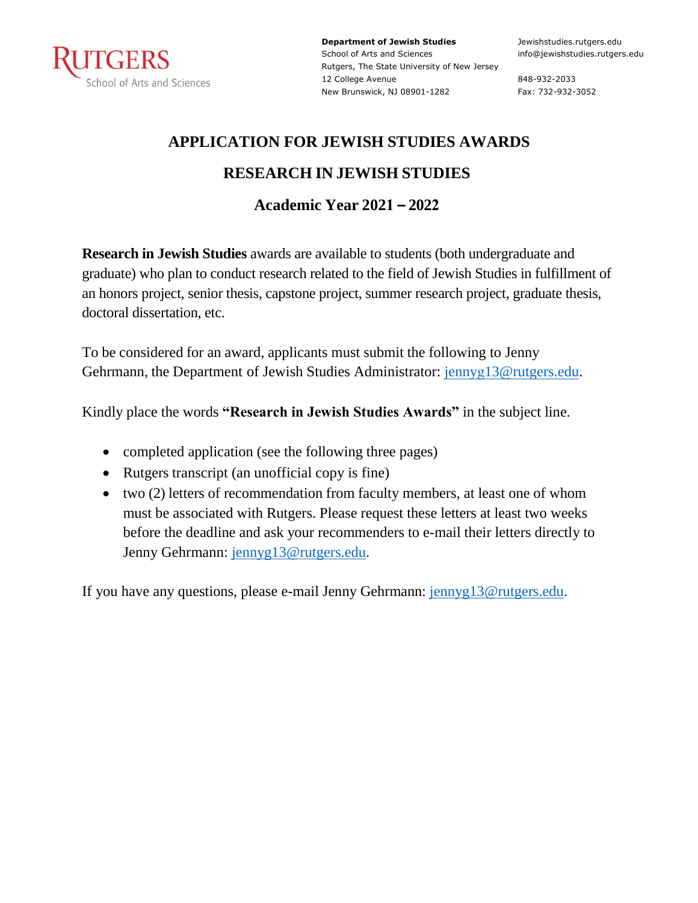

**Department of Jewish Studies** School of Arts and Sciences Rutgers, The State University of New Jersey 12 College Avenue New Brunswick, NJ 08901-1282

Jewishstudies.rutgers.edu info@jewishstudies.rutgers.edu

848-932-2033 Fax: 732-932-3052

## **APPLICATION FOR JEWISH STUDIES AWARDS RESEARCH IN JEWISH STUDIES**

### **Academic Year 2021 – 2022**

**Research in Jewish Studies** awards are available to students (both undergraduate and graduate) who plan to conduct research related to the field of Jewish Studies in fulfillment of an honors project, senior thesis, capstone project, summer research project, graduate thesis, doctoral dissertation, etc.

To be considered for an award, applicants must submit the following to Jenny Gehrmann, the Department of Jewish Studies Administrator: jennyg13@rutgers.edu.

Kindly place the words **"Research in Jewish Studies Awards"** in the subject line.

- completed application (see the following three pages)
- Rutgers transcript (an unofficial copy is fine)
- two (2) letters of recommendation from faculty members, at least one of whom must be associated with Rutgers. Please request these letters at least two weeks before the deadline and ask your recommenders to e-mail their letters directly to Jenny Gehrmann: jennyg13@rutgers.edu.

If you have any questions, please e-mail Jenny Gehrmann: jennyg13@rutgers.edu.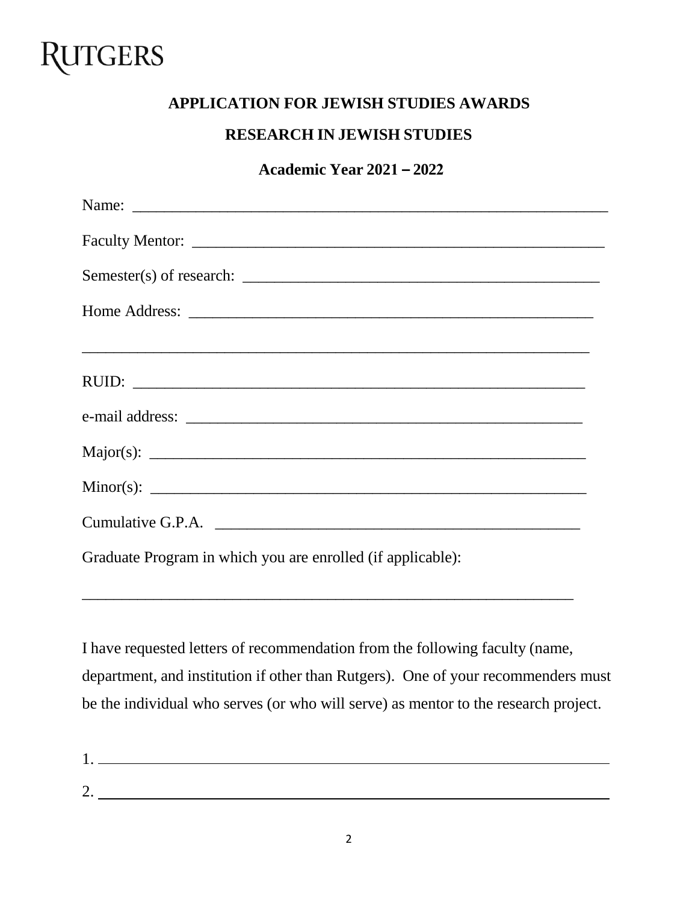# RUTGERS

### **APPLICATION FOR JEWISH STUDIES AWARDS**

#### **RESEARCH IN JEWISH STUDIES**

#### **Academic Year 2021 – 2022**

| Cumulative G.P.A.                                           |
|-------------------------------------------------------------|
| Graduate Program in which you are enrolled (if applicable): |

I have requested letters of recommendation from the following faculty (name, department, and institution if other than Rutgers). One of your recommenders must be the individual who serves (or who will serve) as mentor to the research project.

\_\_\_\_\_\_\_\_\_\_\_\_\_\_\_\_\_\_\_\_\_\_\_\_\_\_\_\_\_\_\_\_\_\_\_\_\_\_\_\_\_\_\_\_\_\_\_\_\_\_\_\_\_\_\_\_\_\_\_\_\_\_

1. 2.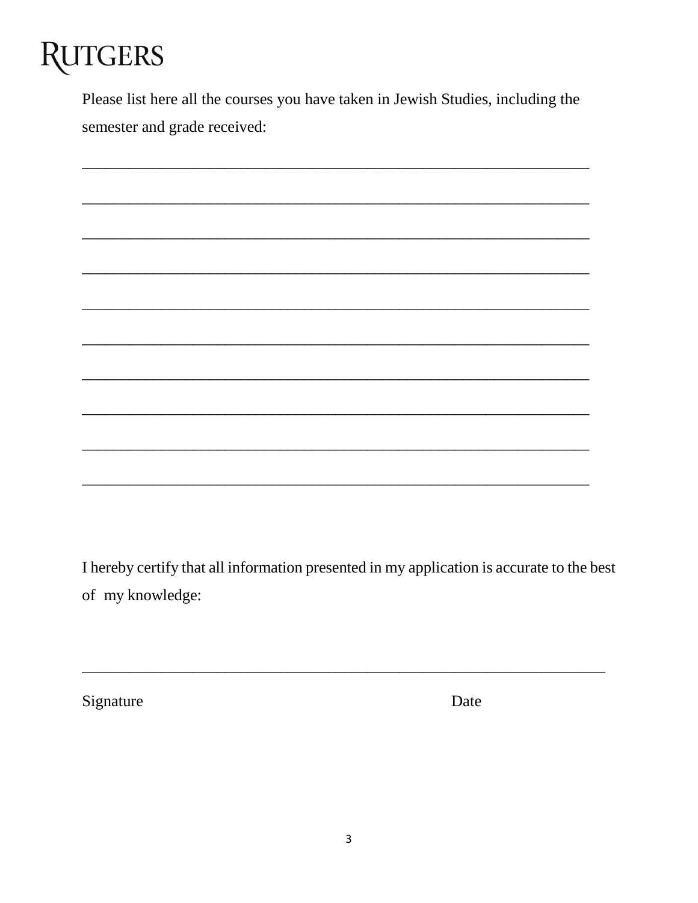# **RUTGERS**

Please list here all the courses you have taken in Jewish Studies, including the semester and grade received:

I hereby certify that all information presented in my application is accurate to the best of my knowledge:

Signature

Date